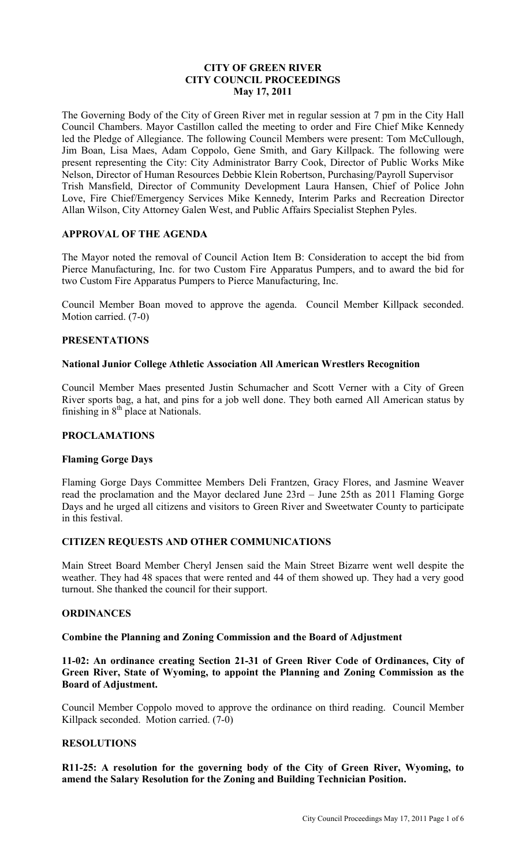# **CITY OF GREEN RIVER CITY COUNCIL PROCEEDINGS May 17, 2011**

The Governing Body of the City of Green River met in regular session at 7 pm in the City Hall Council Chambers. Mayor Castillon called the meeting to order and Fire Chief Mike Kennedy led the Pledge of Allegiance. The following Council Members were present: Tom McCullough, Jim Boan, Lisa Maes, Adam Coppolo, Gene Smith, and Gary Killpack. The following were present representing the City: City Administrator Barry Cook, Director of Public Works Mike Nelson, Director of Human Resources Debbie Klein Robertson, Purchasing/Payroll Supervisor Trish Mansfield, Director of Community Development Laura Hansen, Chief of Police John Love, Fire Chief/Emergency Services Mike Kennedy, Interim Parks and Recreation Director Allan Wilson, City Attorney Galen West, and Public Affairs Specialist Stephen Pyles.

## **APPROVAL OF THE AGENDA**

The Mayor noted the removal of Council Action Item B: Consideration to accept the bid from Pierce Manufacturing, Inc. for two Custom Fire Apparatus Pumpers, and to award the bid for two Custom Fire Apparatus Pumpers to Pierce Manufacturing, Inc.

Council Member Boan moved to approve the agenda. Council Member Killpack seconded. Motion carried. (7-0)

### **PRESENTATIONS**

### **National Junior College Athletic Association All American Wrestlers Recognition**

Council Member Maes presented Justin Schumacher and Scott Verner with a City of Green River sports bag, a hat, and pins for a job well done. They both earned All American status by finishing in  $8<sup>th</sup>$  place at Nationals.

## **PROCLAMATIONS**

### **Flaming Gorge Days**

Flaming Gorge Days Committee Members Deli Frantzen, Gracy Flores, and Jasmine Weaver read the proclamation and the Mayor declared June 23rd – June 25th as 2011 Flaming Gorge Days and he urged all citizens and visitors to Green River and Sweetwater County to participate in this festival.

### **CITIZEN REQUESTS AND OTHER COMMUNICATIONS**

Main Street Board Member Cheryl Jensen said the Main Street Bizarre went well despite the weather. They had 48 spaces that were rented and 44 of them showed up. They had a very good turnout. She thanked the council for their support.

### **ORDINANCES**

### **Combine the Planning and Zoning Commission and the Board of Adjustment**

**11-02: An ordinance creating Section 21-31 of Green River Code of Ordinances, City of Green River, State of Wyoming, to appoint the Planning and Zoning Commission as the Board of Adjustment.** 

Council Member Coppolo moved to approve the ordinance on third reading. Council Member Killpack seconded. Motion carried. (7-0)

## **RESOLUTIONS**

**R11-25: A resolution for the governing body of the City of Green River, Wyoming, to amend the Salary Resolution for the Zoning and Building Technician Position.**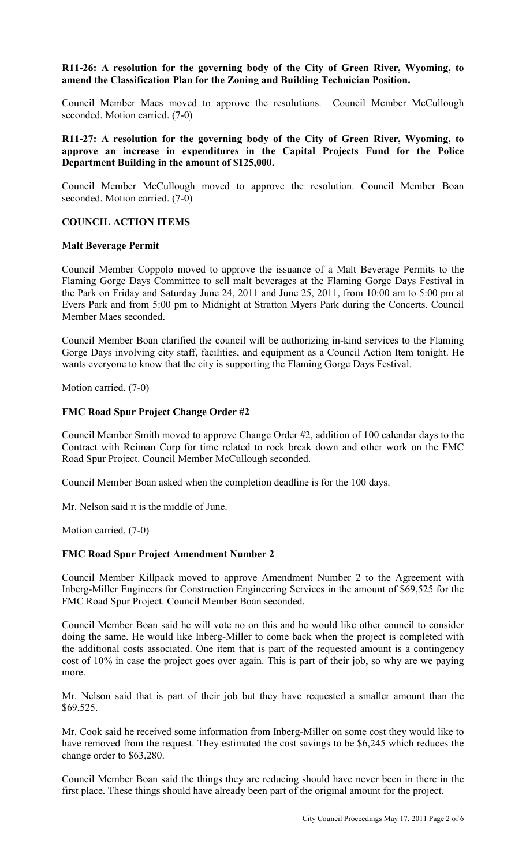# **R11-26: A resolution for the governing body of the City of Green River, Wyoming, to amend the Classification Plan for the Zoning and Building Technician Position.**

Council Member Maes moved to approve the resolutions. Council Member McCullough seconded. Motion carried. (7-0)

# **R11-27: A resolution for the governing body of the City of Green River, Wyoming, to approve an increase in expenditures in the Capital Projects Fund for the Police Department Building in the amount of \$125,000.**

Council Member McCullough moved to approve the resolution. Council Member Boan seconded. Motion carried. (7-0)

## **COUNCIL ACTION ITEMS**

## **Malt Beverage Permit**

Council Member Coppolo moved to approve the issuance of a Malt Beverage Permits to the Flaming Gorge Days Committee to sell malt beverages at the Flaming Gorge Days Festival in the Park on Friday and Saturday June 24, 2011 and June 25, 2011, from 10:00 am to 5:00 pm at Evers Park and from 5:00 pm to Midnight at Stratton Myers Park during the Concerts. Council Member Maes seconded.

Council Member Boan clarified the council will be authorizing in-kind services to the Flaming Gorge Days involving city staff, facilities, and equipment as a Council Action Item tonight. He wants everyone to know that the city is supporting the Flaming Gorge Days Festival.

Motion carried. (7-0)

## **FMC Road Spur Project Change Order #2**

Council Member Smith moved to approve Change Order #2, addition of 100 calendar days to the Contract with Reiman Corp for time related to rock break down and other work on the FMC Road Spur Project. Council Member McCullough seconded.

Council Member Boan asked when the completion deadline is for the 100 days.

Mr. Nelson said it is the middle of June.

Motion carried. (7-0)

### **FMC Road Spur Project Amendment Number 2**

Council Member Killpack moved to approve Amendment Number 2 to the Agreement with Inberg-Miller Engineers for Construction Engineering Services in the amount of \$69,525 for the FMC Road Spur Project. Council Member Boan seconded.

Council Member Boan said he will vote no on this and he would like other council to consider doing the same. He would like Inberg-Miller to come back when the project is completed with the additional costs associated. One item that is part of the requested amount is a contingency cost of 10% in case the project goes over again. This is part of their job, so why are we paying more.

Mr. Nelson said that is part of their job but they have requested a smaller amount than the \$69,525.

Mr. Cook said he received some information from Inberg-Miller on some cost they would like to have removed from the request. They estimated the cost savings to be \$6,245 which reduces the change order to \$63,280.

Council Member Boan said the things they are reducing should have never been in there in the first place. These things should have already been part of the original amount for the project.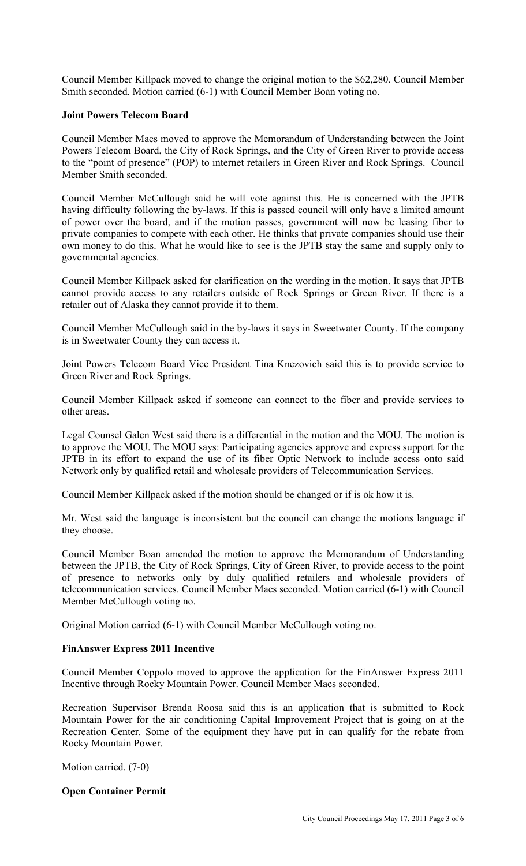Council Member Killpack moved to change the original motion to the \$62,280. Council Member Smith seconded. Motion carried (6-1) with Council Member Boan voting no.

## **Joint Powers Telecom Board**

Council Member Maes moved to approve the Memorandum of Understanding between the Joint Powers Telecom Board, the City of Rock Springs, and the City of Green River to provide access to the "point of presence" (POP) to internet retailers in Green River and Rock Springs. Council Member Smith seconded.

Council Member McCullough said he will vote against this. He is concerned with the JPTB having difficulty following the by-laws. If this is passed council will only have a limited amount of power over the board, and if the motion passes, government will now be leasing fiber to private companies to compete with each other. He thinks that private companies should use their own money to do this. What he would like to see is the JPTB stay the same and supply only to governmental agencies.

Council Member Killpack asked for clarification on the wording in the motion. It says that JPTB cannot provide access to any retailers outside of Rock Springs or Green River. If there is a retailer out of Alaska they cannot provide it to them.

Council Member McCullough said in the by-laws it says in Sweetwater County. If the company is in Sweetwater County they can access it.

Joint Powers Telecom Board Vice President Tina Knezovich said this is to provide service to Green River and Rock Springs.

Council Member Killpack asked if someone can connect to the fiber and provide services to other areas.

Legal Counsel Galen West said there is a differential in the motion and the MOU. The motion is to approve the MOU. The MOU says: Participating agencies approve and express support for the JPTB in its effort to expand the use of its fiber Optic Network to include access onto said Network only by qualified retail and wholesale providers of Telecommunication Services.

Council Member Killpack asked if the motion should be changed or if is ok how it is.

Mr. West said the language is inconsistent but the council can change the motions language if they choose.

Council Member Boan amended the motion to approve the Memorandum of Understanding between the JPTB, the City of Rock Springs, City of Green River, to provide access to the point of presence to networks only by duly qualified retailers and wholesale providers of telecommunication services. Council Member Maes seconded. Motion carried (6-1) with Council Member McCullough voting no.

Original Motion carried (6-1) with Council Member McCullough voting no.

## **FinAnswer Express 2011 Incentive**

Council Member Coppolo moved to approve the application for the FinAnswer Express 2011 Incentive through Rocky Mountain Power. Council Member Maes seconded.

Recreation Supervisor Brenda Roosa said this is an application that is submitted to Rock Mountain Power for the air conditioning Capital Improvement Project that is going on at the Recreation Center. Some of the equipment they have put in can qualify for the rebate from Rocky Mountain Power.

Motion carried. (7-0)

## **Open Container Permit**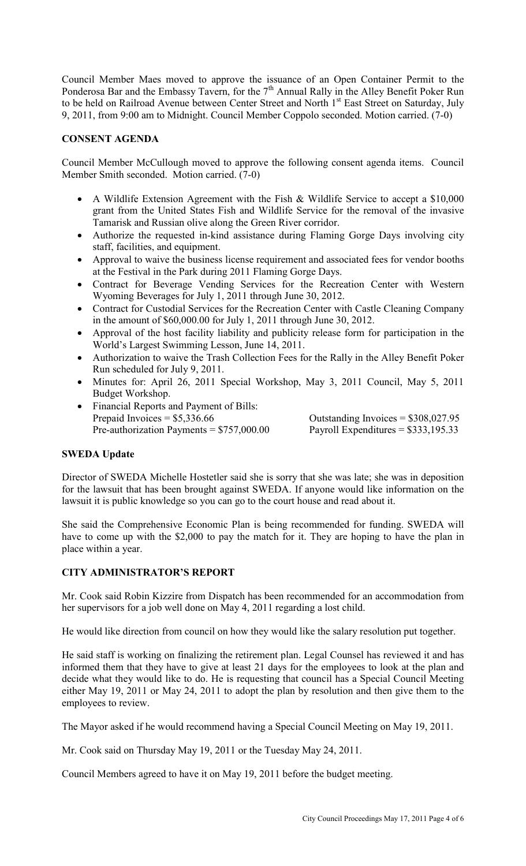Council Member Maes moved to approve the issuance of an Open Container Permit to the Ponderosa Bar and the Embassy Tavern, for the 7<sup>th</sup> Annual Rally in the Alley Benefit Poker Run to be held on Railroad Avenue between Center Street and North 1<sup>st</sup> East Street on Saturday, July 9, 2011, from 9:00 am to Midnight. Council Member Coppolo seconded. Motion carried. (7-0)

# **CONSENT AGENDA**

Council Member McCullough moved to approve the following consent agenda items. Council Member Smith seconded. Motion carried. (7-0)

- A Wildlife Extension Agreement with the Fish & Wildlife Service to accept a \$10,000 grant from the United States Fish and Wildlife Service for the removal of the invasive Tamarisk and Russian olive along the Green River corridor.
- Authorize the requested in-kind assistance during Flaming Gorge Days involving city staff, facilities, and equipment.
- Approval to waive the business license requirement and associated fees for vendor booths at the Festival in the Park during 2011 Flaming Gorge Days.
- Contract for Beverage Vending Services for the Recreation Center with Western Wyoming Beverages for July 1, 2011 through June 30, 2012.
- Contract for Custodial Services for the Recreation Center with Castle Cleaning Company in the amount of \$60,000.00 for July 1, 2011 through June 30, 2012.
- Approval of the host facility liability and publicity release form for participation in the World's Largest Swimming Lesson, June 14, 2011.
- Authorization to waive the Trash Collection Fees for the Rally in the Alley Benefit Poker Run scheduled for July 9, 2011.
- Minutes for: April 26, 2011 Special Workshop, May 3, 2011 Council, May 5, 2011 Budget Workshop.
- Financial Reports and Payment of Bills: Prepaid Invoices =  $$5,336.66$  Outstanding Invoices =  $$308,027.95$ Pre-authorization Payments =  $$757,000.00$  Payroll Expenditures =  $$333,195.33$

# **SWEDA Update**

Director of SWEDA Michelle Hostetler said she is sorry that she was late; she was in deposition for the lawsuit that has been brought against SWEDA. If anyone would like information on the lawsuit it is public knowledge so you can go to the court house and read about it.

She said the Comprehensive Economic Plan is being recommended for funding. SWEDA will have to come up with the \$2,000 to pay the match for it. They are hoping to have the plan in place within a year.

# **CITY ADMINISTRATOR'S REPORT**

Mr. Cook said Robin Kizzire from Dispatch has been recommended for an accommodation from her supervisors for a job well done on May 4, 2011 regarding a lost child.

He would like direction from council on how they would like the salary resolution put together.

He said staff is working on finalizing the retirement plan. Legal Counsel has reviewed it and has informed them that they have to give at least 21 days for the employees to look at the plan and decide what they would like to do. He is requesting that council has a Special Council Meeting either May 19, 2011 or May 24, 2011 to adopt the plan by resolution and then give them to the employees to review.

The Mayor asked if he would recommend having a Special Council Meeting on May 19, 2011.

Mr. Cook said on Thursday May 19, 2011 or the Tuesday May 24, 2011.

Council Members agreed to have it on May 19, 2011 before the budget meeting.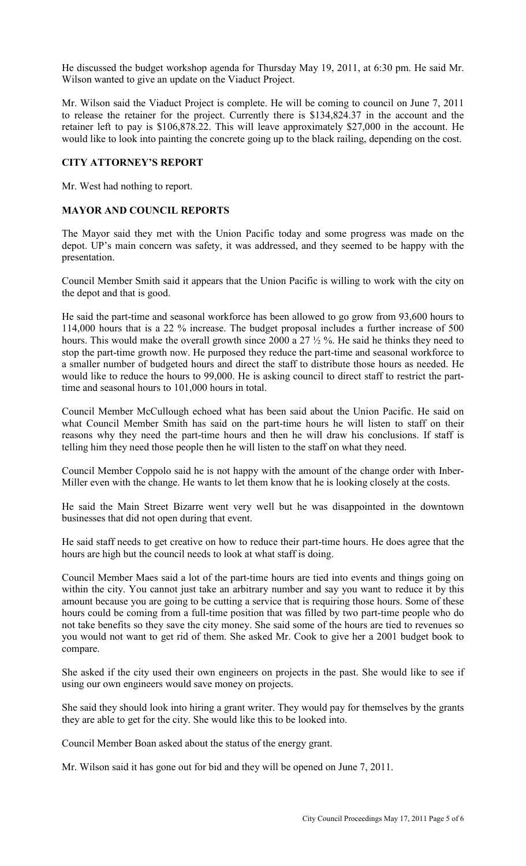He discussed the budget workshop agenda for Thursday May 19, 2011, at 6:30 pm. He said Mr. Wilson wanted to give an update on the Viaduct Project.

Mr. Wilson said the Viaduct Project is complete. He will be coming to council on June 7, 2011 to release the retainer for the project. Currently there is \$134,824.37 in the account and the retainer left to pay is \$106,878.22. This will leave approximately \$27,000 in the account. He would like to look into painting the concrete going up to the black railing, depending on the cost.

# **CITY ATTORNEY'S REPORT**

Mr. West had nothing to report.

# **MAYOR AND COUNCIL REPORTS**

The Mayor said they met with the Union Pacific today and some progress was made on the depot. UP's main concern was safety, it was addressed, and they seemed to be happy with the presentation.

Council Member Smith said it appears that the Union Pacific is willing to work with the city on the depot and that is good.

He said the part-time and seasonal workforce has been allowed to go grow from 93,600 hours to 114,000 hours that is a 22 % increase. The budget proposal includes a further increase of 500 hours. This would make the overall growth since 2000 a 27  $\frac{1}{2}$  %. He said he thinks they need to stop the part-time growth now. He purposed they reduce the part-time and seasonal workforce to a smaller number of budgeted hours and direct the staff to distribute those hours as needed. He would like to reduce the hours to 99,000. He is asking council to direct staff to restrict the parttime and seasonal hours to 101,000 hours in total.

Council Member McCullough echoed what has been said about the Union Pacific. He said on what Council Member Smith has said on the part-time hours he will listen to staff on their reasons why they need the part-time hours and then he will draw his conclusions. If staff is telling him they need those people then he will listen to the staff on what they need.

Council Member Coppolo said he is not happy with the amount of the change order with Inber-Miller even with the change. He wants to let them know that he is looking closely at the costs.

He said the Main Street Bizarre went very well but he was disappointed in the downtown businesses that did not open during that event.

He said staff needs to get creative on how to reduce their part-time hours. He does agree that the hours are high but the council needs to look at what staff is doing.

Council Member Maes said a lot of the part-time hours are tied into events and things going on within the city. You cannot just take an arbitrary number and say you want to reduce it by this amount because you are going to be cutting a service that is requiring those hours. Some of these hours could be coming from a full-time position that was filled by two part-time people who do not take benefits so they save the city money. She said some of the hours are tied to revenues so you would not want to get rid of them. She asked Mr. Cook to give her a 2001 budget book to compare.

She asked if the city used their own engineers on projects in the past. She would like to see if using our own engineers would save money on projects.

She said they should look into hiring a grant writer. They would pay for themselves by the grants they are able to get for the city. She would like this to be looked into.

Council Member Boan asked about the status of the energy grant.

Mr. Wilson said it has gone out for bid and they will be opened on June 7, 2011.